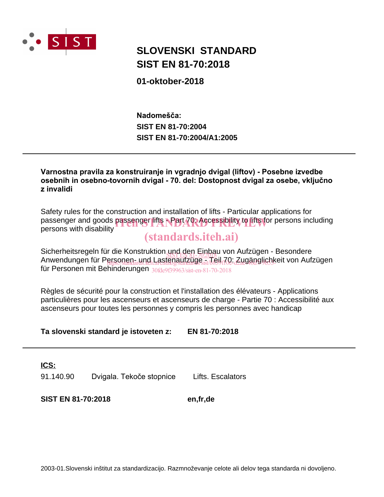

## **SIST EN 81-70:2018 SLOVENSKI STANDARD**

**01-oktober-2018**

**SIST EN 81-70:2004/A1:2005 SIST EN 81-70:2004** Nadomešča:

Varnostna pravila za konstruiranje in vgradnjo dvigal (liftov) - Posebne izvedbe osebnih in osebno-tovornih dvigal - 70. del: Dostopnost dvigal za osebe, vključno  $\mathsf z$  invalidi

Safety rules for the construction and installation of lifts - Particular applications for passenger and goods passenger lifts **- Part 70: Accessibility to lifts f**or persons including<br>persons with disability persons with disability

## (standards.iteh.ai)

Sicherheitsregeln für die Konstruktion und den Einbau von Aufzügen - Besondere Sicherheitsregen für die Konstruktion <u>gelegen Filborg</u><br>Anwendungen für Personen- und Lastenaufzüge <sub>is A</sub>leil 70: Zugänglichkeit von Aufzügen für Personen mit Behinderungen 30fde9f39963/sist-en-81-70-2018 ersonen- ung Lastenaurzuge : Jeung de Zaeganglichk

Règles de sécurité pour la construction et l'installation des élévateurs - Applications particulières pour les ascenseurs et ascenseurs de charge - Partie 70 : Accessibilité aux ascenseurs pour toutes les personnes y compris les personnes avec handicap

**Ta slovenski standard je istoveten z: EN 81-70:2018**

**ICS:**

91.140.90 Dvigala. Tekoče stopnice Lifts. Escalators

**SIST EN 81-70:2018 en,fr,de**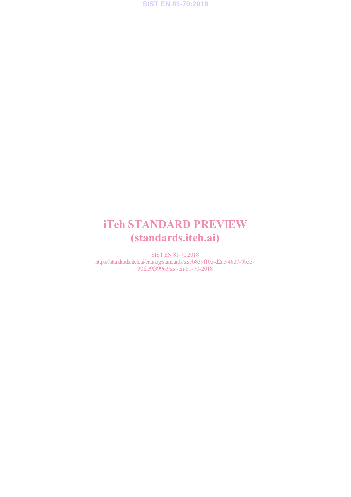

## iTeh STANDARD PREVIEW (standards.iteh.ai)

SIST EN 81-70:2018 https://standards.iteh.ai/catalog/standards/sist/b839f10e-d2ae-46d7-9b53- 30fde9f39963/sist-en-81-70-2018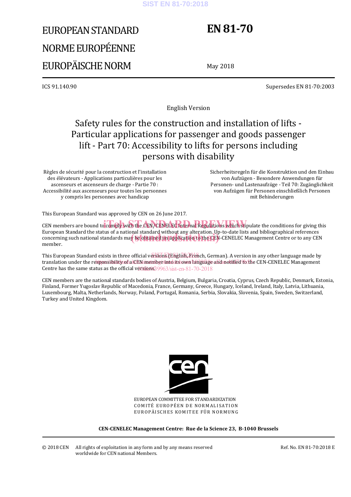#### **SIST EN 81-70:2018**

# EUROPEAN STANDARD NORME EUROPÉENNE EUROPÄISCHE NORM

## **EN 81-70**

May 2018

ICS 91.140.90 Supersedes EN 81-70:2003

English Version

## Safety rules for the construction and installation of lifts - Particular applications for passenger and goods passenger lift - Part 70: Accessibility to lifts for persons including persons with disability

Règles de sécurité pour la construction et l'installation des élévateurs - Applications particulières pour les ascenseurs et ascenseurs de charge - Partie 70 : Accessibilité aux ascenseurs pour toutes les personnes y compris les personnes avec handicap

 Sicherheitsregeln für die Konstruktion und den Einbau von Aufzügen - Besondere Anwendungen für Personen- und Lastenaufzüge - Teil 70: Zugänglichkeit von Aufzügen für Personen einschließlich Personen mit Behinderungen

This European Standard was approved by CEN on 26 June 2017.

CEN members are bound to comply with the CEN/CENELEC Internal Regulations which stipulate the conditions for giving this European Standard the status of a national standard without any alteration. Up-to-date lists and bibliographical references European Standard the status of a hational standard without any alteration. Op-to-date lists and bibliographical references<br>concerning such national standards may be obtained on application to the CEN-CENELEC Management Ce member.

This European Standard exists in three official versions (English, French, German). A version in any other language made by translation under the responsibility of a CEN member into ats own language and notified to the CEN-CENELEC Management Centre has the same status as the official versions? 39963/sist-en-81-70-2018

CEN members are the national standards bodies of Austria, Belgium, Bulgaria, Croatia, Cyprus, Czech Republic, Denmark, Estonia, Finland, Former Yugoslav Republic of Macedonia, France, Germany, Greece, Hungary, Iceland, Ireland, Italy, Latvia, Lithuania, Luxembourg, Malta, Netherlands, Norway, Poland, Portugal, Romania, Serbia, Slovakia, Slovenia, Spain, Sweden, Switzerland, Turkey and United Kingdom.



EUROPEAN COMMITTEE FOR STANDARDIZATION COMITÉ EUROPÉEN DE NORMALISATION EUROPÄISCHES KOMITEE FÜR NORMUNG

**CEN-CENELEC Management Centre: Rue de la Science 23, B-1040 Brussels**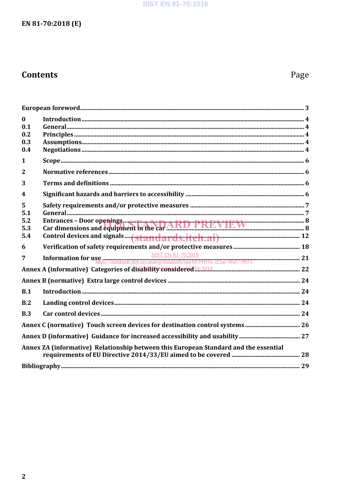## **SIST EN 81-70:2018**

## EN 81-70:2018 (E)

## **Contents**

## Page

| $\mathbf{0}$                                                                         |                                                                                                                                     |  |  |  |  |
|--------------------------------------------------------------------------------------|-------------------------------------------------------------------------------------------------------------------------------------|--|--|--|--|
| 0.1<br>0.2                                                                           |                                                                                                                                     |  |  |  |  |
| 0.3                                                                                  |                                                                                                                                     |  |  |  |  |
| 0.4                                                                                  |                                                                                                                                     |  |  |  |  |
| $\mathbf{1}$                                                                         |                                                                                                                                     |  |  |  |  |
| $\overline{2}$                                                                       |                                                                                                                                     |  |  |  |  |
| 3                                                                                    |                                                                                                                                     |  |  |  |  |
| $\boldsymbol{4}$                                                                     |                                                                                                                                     |  |  |  |  |
| 5                                                                                    |                                                                                                                                     |  |  |  |  |
| 5.1<br>5.2                                                                           |                                                                                                                                     |  |  |  |  |
| 5.3                                                                                  | Entrances - Door openings<br>Car dimensions and equipment in the car ARD PREVIEW                                                    |  |  |  |  |
| 5.4                                                                                  |                                                                                                                                     |  |  |  |  |
| 6                                                                                    |                                                                                                                                     |  |  |  |  |
| 7                                                                                    | <b>Information for use</b><br><b>Information for use</b><br>https://standards.iteh.avcatalog/standards/sist/b839H0e-d2ae-46d7-9b53- |  |  |  |  |
|                                                                                      |                                                                                                                                     |  |  |  |  |
|                                                                                      |                                                                                                                                     |  |  |  |  |
| B.1                                                                                  |                                                                                                                                     |  |  |  |  |
| B.2                                                                                  |                                                                                                                                     |  |  |  |  |
| B.3                                                                                  |                                                                                                                                     |  |  |  |  |
|                                                                                      |                                                                                                                                     |  |  |  |  |
|                                                                                      |                                                                                                                                     |  |  |  |  |
| Annex ZA (informative) Relationship between this European Standard and the essential |                                                                                                                                     |  |  |  |  |
|                                                                                      |                                                                                                                                     |  |  |  |  |
|                                                                                      |                                                                                                                                     |  |  |  |  |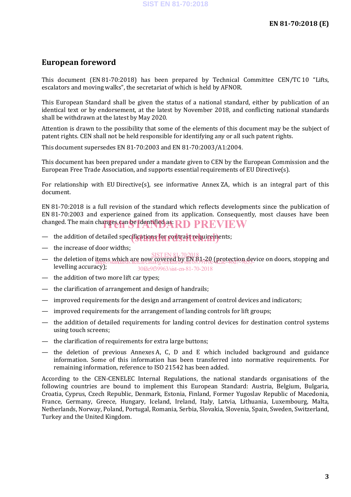## **European foreword**

This document (EN 81-70:2018) has been prepared by Technical Committee CEN/TC 10 "Lifts, escalators and moving walks", the secretariat of which is held by AFNOR.

This European Standard shall be given the status of a national standard, either by publication of an identical text or by endorsement, at the latest by November 2018, and conflicting national standards shall be withdrawn at the latest by May 2020.

Attention is drawn to the possibility that some of the elements of this document may be the subject of patent rights. CEN shall not be held responsible for identifying any or all such patent rights.

This document supersedes EN 81-70:2003 and EN 81-70:2003/A1:2004.

This document has been prepared under a mandate given to CEN by the European Commission and the European Free Trade Association, and supports essential requirements of EU Directive(s).

For relationship with EU Directive(s), see informative Annex ZA, which is an integral part of this document.

EN 81-70:2018 is a full revision of the standard which reflects developments since the publication of EN 81-70:2003 and experience gained from its application. Consequently, most clauses have been changed. The main changes can be identified as: RD PREVIEW

- the addition of detailed spec<mark>ifications for contrast requirem</mark>ents;
- the increase of door widths;
- the deletion of items which are now covered by EN 81-20 (protection device on doors, stopping and levelling accuracy); SIST EN 81-70:2018 https://standards.iteh.ai/catalog/standards/sist/b839f10e-d2ae-46d7-9b53- 30fde9f39963/sist-en-81-70-2018
- the addition of two more lift car types;
- the clarification of arrangement and design of handrails;
- improved requirements for the design and arrangement of control devices and indicators;
- improved requirements for the arrangement of landing controls for lift groups;
- the addition of detailed requirements for landing control devices for destination control systems using touch screens;
- the clarification of requirements for extra large buttons;
- the deletion of previous Annexes A, C, D and E which included background and guidance information. Some of this information has been transferred into normative requirements. For remaining information, reference to ISO 21542 has been added.

According to the CEN-CENELEC Internal Regulations, the national standards organisations of the following countries are bound to implement this European Standard: Austria, Belgium, Bulgaria, Croatia, Cyprus, Czech Republic, Denmark, Estonia, Finland, Former Yugoslav Republic of Macedonia, France, Germany, Greece, Hungary, Iceland, Ireland, Italy, Latvia, Lithuania, Luxembourg, Malta, Netherlands, Norway, Poland, Portugal, Romania, Serbia, Slovakia, Slovenia, Spain, Sweden, Switzerland, Turkey and the United Kingdom.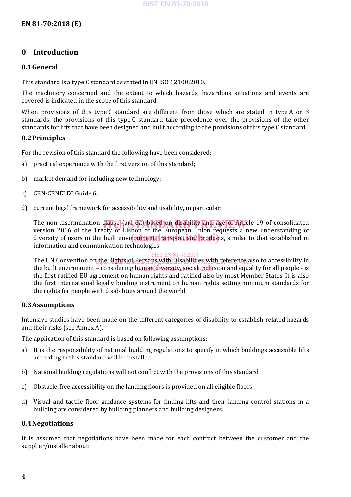## **0 Introduction**

## **0.1General**

This standard is a type C standard as stated in EN ISO 12100:2010.

The machinery concerned and the extent to which hazards, hazardous situations and events are covered is indicated in the scope of this standard.

When provisions of this type C standard are different from those which are stated in type A or B standards, the provisions of this type C standard take precedence over the provisions of the other standards for lifts that have been designed and built according to the provisions of this type C standard.

## **0.2Principles**

For the revision of this standard the following have been considered:

- a) practical experience with the first version of this standard;
- b) market demand for including new technology;
- c) CEN-CENELEC Guide 6;
- d) current legal framework for accessibility and usability, in particular:

The non-discrimination clause (art 6a) based on disability and age of Article 19 of consolidated<br>version 2016 of the Treaty of Lisbon of the European Union requests a new understanding of version 2016 of the Treaty of Lisbon of the European Union requests a new understanding of diversity of users in the built environment, transport and products, similar to that established in information and communication technologies.

## **SIST EN 81-70:2018**

The UN Convention on the Rights of Persons with Disabilities with reference also to accessibility in the built environment – considering h<u>uman diversity, social incl</u>usion and equality for all people - is the first ratified EU agreement on human rights and ratified also by most Member States. It is also the first international legally binding instrument on human rights setting minimum standards for the rights for people with disabilities around the world.

## **0.3Assumptions**

Intensive studies have been made on the different categories of disability to establish related hazards and their risks (see Annex A).

The application of this standard is based on following assumptions:

- a) It is the responsibility of national building regulations to specify in which buildings accessible lifts according to this standard will be installed.
- b) National building regulations will not conflict with the provisions of this standard.
- c) Obstacle-free accessibility on the landing floors is provided on all eligible floors.
- d) Visual and tactile floor guidance systems for finding lifts and their landing control stations in a building are considered by building planners and building designers.

## **0.4Negotiations**

It is assumed that negotiations have been made for each contract between the customer and the supplier/installer about: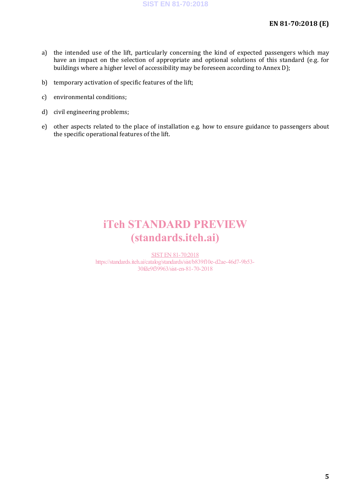- a) the intended use of the lift, particularly concerning the kind of expected passengers which may have an impact on the selection of appropriate and optional solutions of this standard (e.g. for buildings where a higher level of accessibility may be foreseen according to Annex D);
- b) temporary activation of specific features of the lift;
- c) environmental conditions;
- d) civil engineering problems;
- e) other aspects related to the place of installation e.g. how to ensure guidance to passengers about the specific operational features of the lift.

## iTeh STANDARD PREVIEW (standards.iteh.ai)

SIST EN 81-70:2018 https://standards.iteh.ai/catalog/standards/sist/b839f10e-d2ae-46d7-9b53- 30fde9f39963/sist-en-81-70-2018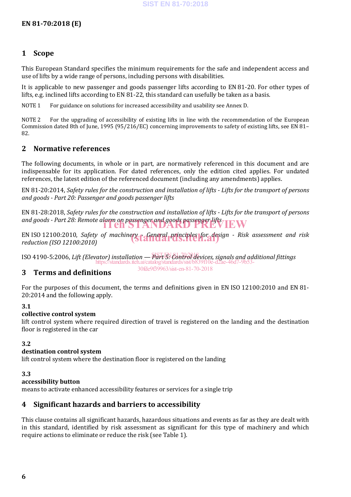## **1 Scope**

This European Standard specifies the minimum requirements for the safe and independent access and use of lifts by a wide range of persons, including persons with disabilities.

It is applicable to new passenger and goods passenger lifts according to EN 81-20. For other types of lifts, e.g. inclined lifts according to EN 81-22, this standard can usefully be taken as a basis.

NOTE 1 For guidance on solutions for increased accessibility and usability see Annex D.

NOTE 2 For the upgrading of accessibility of existing lifts in line with the recommendation of the European Commission dated 8th of June, 1995 (95/216/EC) concerning improvements to safety of existing lifts, see EN 81– 82.

## **2 Normative references**

The following documents, in whole or in part, are normatively referenced in this document and are indispensable for its application. For dated references, only the edition cited applies. For undated references, the latest edition of the referenced document (including any amendments) applies.

EN 81-20:2014, *Safety rules for the construction and installation of lifts - Lifts for the transport of persons and goods - Part 20: Passenger and goods passenger lifts*

EN 81-28:2018, *Safety rules for the construction and installation of lifts - Lifts for the transport of persons*  and goods - Part 28: Remote alarm on passenger and goods passenger lifts<br>**iTeh STANDARD PREVIEW** 

EN ISO 12100:2010, *Safety of machinery f General principles for design - Risk assessment and risk reduction (ISO 12100:2010) reduction (ISO 12100:2010)*

ISO 4190-5:2006, *Lift (Elevator) installation — Part 5: Control devices, signals and additional fittings* SIST EN 81-70:2018 https://standards.iteh.ai/catalog/standards/sist/b839f10e-d2ae-46d7-9b53- 30fde9f39963/sist-en-81-70-2018

## **3 Terms and definitions**

For the purposes of this document, the terms and definitions given in EN ISO 12100:2010 and EN 81- 20:2014 and the following apply.

## **3.1**

#### **collective control system**

lift control system where required direction of travel is registered on the landing and the destination floor is registered in the car

#### **3.2**

#### **destination control system**

lift control system where the destination floor is registered on the landing

#### **3.3**

#### **accessibility button**

means to activate enhanced accessibility features or services for a single trip

## **4 Significant hazards and barriers to accessibility**

This clause contains all significant hazards, hazardous situations and events as far as they are dealt with in this standard, identified by risk assessment as significant for this type of machinery and which require actions to eliminate or reduce the risk (see Table 1).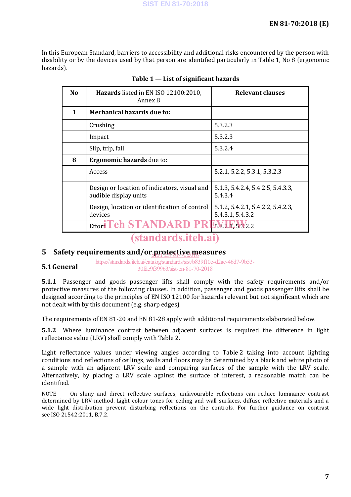In this European Standard, barriers to accessibility and additional risks encountered by the person with disability or by the devices used by that person are identified particularly in Table 1, No 8 (ergonomic hazards).

| No | Hazards listed in EN ISO 12100:2010,<br>Annex B                       | <b>Relevant clauses</b>                               |  |
|----|-----------------------------------------------------------------------|-------------------------------------------------------|--|
| 1  | <b>Mechanical hazards due to:</b>                                     |                                                       |  |
|    | Crushing                                                              | 5.3.2.3                                               |  |
|    | Impact                                                                | 5.3.2.3                                               |  |
|    | Slip, trip, fall                                                      | 5.3.2.4                                               |  |
| 8  | <b>Ergonomic hazards</b> due to:                                      |                                                       |  |
|    | Access                                                                | 5.2.1, 5.2.2, 5.3.1, 5.3.2.3                          |  |
|    | Design or location of indicators, visual and<br>audible display units | 5.1.3, 5.4.2.4, 5.4.2.5, 5.4.3.3,<br>5.4.3.4          |  |
|    | Design, location or identification of control<br>devices              | 5.1.2, 5.4.2.1, 5.4.2.2, 5.4.2.3,<br>5.4.3.1, 5.4.3.2 |  |
|    | Effort L                                                              | 15.8.2.1, 5.3.2.2                                     |  |

## (standards.iteh.ai)

## 5 Safety requirements and/or protective measures

**5.1General** https://standards.iteh.ai/catalog/standards/sist/b839f10e-d2ae-46d7-9b53- 30fde9f39963/sist-en-81-70-2018

**5.1.1** Passenger and goods passenger lifts shall comply with the safety requirements and/or protective measures of the following clauses. In addition, passenger and goods passenger lifts shall be designed according to the principles of EN ISO 12100 for hazards relevant but not significant which are not dealt with by this document (e.g. sharp edges).

The requirements of EN 81-20 and EN 81-28 apply with additional requirements elaborated below.

**5.1.2** Where luminance contrast between adjacent surfaces is required the difference in light reflectance value (LRV) shall comply with Table 2.

Light reflectance values under viewing angles according to Table 2 taking into account lighting conditions and reflections of ceilings, walls and floors may be determined by a black and white photo of a sample with an adjacent LRV scale and comparing surfaces of the sample with the LRV scale. Alternatively, by placing a LRV scale against the surface of interest, a reasonable match can be identified.

NOTE On shiny and direct reflective surfaces, unfavourable reflections can reduce luminance contrast determined by LRV-method. Light colour tones for ceiling and wall surfaces, diffuse reflective materials and a wide light distribution prevent disturbing reflections on the controls. For further guidance on contrast see ISO 21542:2011, B.7.2.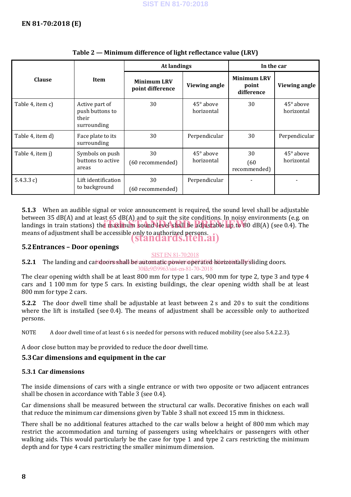|                  | Item                                                      | <b>At landings</b>                     |                                | In the car                                |                                |
|------------------|-----------------------------------------------------------|----------------------------------------|--------------------------------|-------------------------------------------|--------------------------------|
| <b>Clause</b>    |                                                           | <b>Minimum LRV</b><br>point difference | Viewing angle                  | <b>Minimum LRV</b><br>point<br>difference | Viewing angle                  |
| Table 4, item c) | Active part of<br>push buttons to<br>their<br>surrounding | 30                                     | $45^\circ$ above<br>horizontal | 30                                        | $45^\circ$ above<br>horizontal |
| Table 4, item d) | Face plate to its<br>surrounding                          | 30                                     | Perpendicular                  | 30                                        | Perpendicular                  |
| Table 4, item j) | Symbols on push<br>buttons to active<br>areas             | 30<br>(60 recommended)                 | $45^\circ$ above<br>horizontal | 30<br>(60)<br>recommended)                | $45^\circ$ above<br>horizontal |
| 5.4.3.3 c)       | Lift identification<br>to background                      | 30<br>(60 recommended)                 | Perpendicular                  |                                           |                                |

## **Table 2 — Minimum difference of light reflectance value (LRV)**

**5.1.3** When an audible signal or voice announcement is required, the sound level shall be adjustable between 35 dB(A) and at least 65 dB(A) and to suit the site conditions. In noisy environments (e.g. on Landings in train stations) the maximum sound level shall be adjustable up to  $80$  dB(A) (see 0.4). The landings in train stations) the maximum sound level shall be adjustable up to  $80$  dB(A) (see 0.4). The means of adjustment shall be accessible only to authorized persons. (standards.iteh.ai)

## **5.2Entrances – Door openings**

### SIST EN 81-70:2018

**5.2.1** The landing and candoors shall be automatic power operated horizontally sliding doors.

The clear opening width shall be at least 800 mm for type 1 cars, 900 mm for type 2, type 3 and type 4 cars and 1 100 mm for type 5 cars. In existing buildings, the clear opening width shall be at least 800 mm for type 2 cars. 30fde9f39963/sist-en-81-70-2018

**5.2.2** The door dwell time shall be adjustable at least between 2 s and 20 s to suit the conditions where the lift is installed (see 0.4). The means of adjustment shall be accessible only to authorized persons.

NOTE A door dwell time of at least 6 s is needed for persons with reduced mobility (see also 5.4.2.2.3).

A door close button may be provided to reduce the door dwell time.

## **5.3Car dimensions and equipment in the car**

## **5.3.1 Car dimensions**

The inside dimensions of cars with a single entrance or with two opposite or two adjacent entrances shall be chosen in accordance with Table 3 (see 0.4).

Car dimensions shall be measured between the structural car walls. Decorative finishes on each wall that reduce the minimum car dimensions given by Table 3 shall not exceed 15 mm in thickness.

There shall be no additional features attached to the car walls below a height of 800 mm which may restrict the accommodation and turning of passengers using wheelchairs or passengers with other walking aids. This would particularly be the case for type 1 and type 2 cars restricting the minimum depth and for type 4 cars restricting the smaller minimum dimension.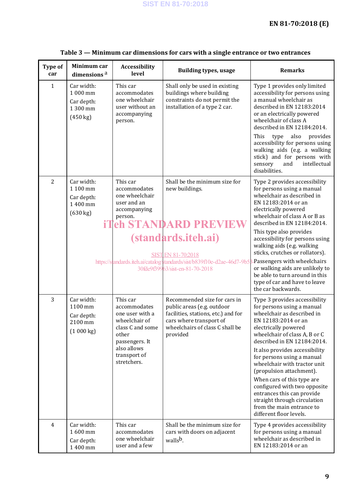| Type of<br>car | Minimum car<br>dimensions <sup>a</sup>                                       | Accessibility<br>level                                                                                                                                    | <b>Building types, usage</b>                                                                                                                                                                                                                    | <b>Remarks</b>                                                                                                                                                                                                                                                                                                                                                                                                                                                                                                           |
|----------------|------------------------------------------------------------------------------|-----------------------------------------------------------------------------------------------------------------------------------------------------------|-------------------------------------------------------------------------------------------------------------------------------------------------------------------------------------------------------------------------------------------------|--------------------------------------------------------------------------------------------------------------------------------------------------------------------------------------------------------------------------------------------------------------------------------------------------------------------------------------------------------------------------------------------------------------------------------------------------------------------------------------------------------------------------|
| $\mathbf{1}$   | Car width:<br>1 000 mm<br>Car depth:<br>1 300 mm<br>(450 kg)                 | This car<br>accommodates<br>one wheelchair<br>user without an<br>accompanying<br>person.                                                                  | Shall only be used in existing<br>buildings where building<br>constraints do not permit the<br>installation of a type 2 car.                                                                                                                    | Type 1 provides only limited<br>accessibility for persons using<br>a manual wheelchair as<br>described in EN 12183:2014<br>or an electrically powered<br>wheelchair of class A<br>described in EN 12184:2014.<br>This<br>also<br>provides<br>type<br>accessibility for persons using<br>walking aids (e.g. a walking<br>stick) and for persons with<br>intellectual<br>sensory<br>and<br>disabilities.                                                                                                                   |
| $\overline{2}$ | Car width:<br>1 100 mm<br>Car depth:<br>1 400 mm<br>$(630 \text{ kg})$<br>iТ | This car<br>accommodates<br>one wheelchair<br>user and an<br>accompanying<br>person.                                                                      | Shall be the minimum size for<br>new buildings.<br>eh STANDARD PREVIE<br><i>(standards.iteh.ai)</i><br><b>SIST EN 81-70:2018</b><br>https://standards.iteh.ai/catalog/standards/sist/b839f10e-d2ae-46d7-9b53<br>30fde9f39963/sist-en-81-70-2018 | Type 2 provides accessibility<br>for persons using a manual<br>wheelchair as described in<br>EN 12183:2014 or an<br>electrically powered<br>wheelchair of class A or B as<br>described in EN 12184:2014.<br>This type also provides<br>accessibility for persons using<br>walking aids (e.g. walking<br>sticks, crutches or rollators).<br>Passengers with wheelchairs<br>or walking aids are unlikely to<br>be able to turn around in this<br>type of car and have to leave<br>the car backwards.                       |
| 3              | Car width:<br>1100 mm<br>Car depth:<br>2100 mm<br>(1000 kg)                  | This car<br>accommodates<br>one user with a<br>wheelchair of<br>class C and some<br>other<br>passengers. It<br>also allows<br>transport of<br>stretchers. | Recommended size for cars in<br>public areas (e.g. outdoor<br>facilities, stations, etc.) and for<br>cars where transport of<br>wheelchairs of class C shall be<br>provided                                                                     | Type 3 provides accessibility<br>for persons using a manual<br>wheelchair as described in<br>EN 12183:2014 or an<br>electrically powered<br>wheelchair of class A, B or C<br>described in EN 12184:2014.<br>It also provides accessibility<br>for persons using a manual<br>wheelchair with tractor unit<br>(propulsion attachment).<br>When cars of this type are<br>configured with two opposite<br>entrances this can provide<br>straight through circulation<br>from the main entrance to<br>different floor levels. |
| $\overline{4}$ | Car width:<br>1600 mm<br>Car depth:<br>1 400 mm                              | This car<br>accommodates<br>one wheelchair<br>user and a few                                                                                              | Shall be the minimum size for<br>cars with doors on adjacent<br>walls <sup>b</sup> .                                                                                                                                                            | Type 4 provides accessibility<br>for persons using a manual<br>wheelchair as described in<br>EN 12183:2014 or an                                                                                                                                                                                                                                                                                                                                                                                                         |

## **Table 3 — Minimum car dimensions for cars with a single entrance or two entrances**